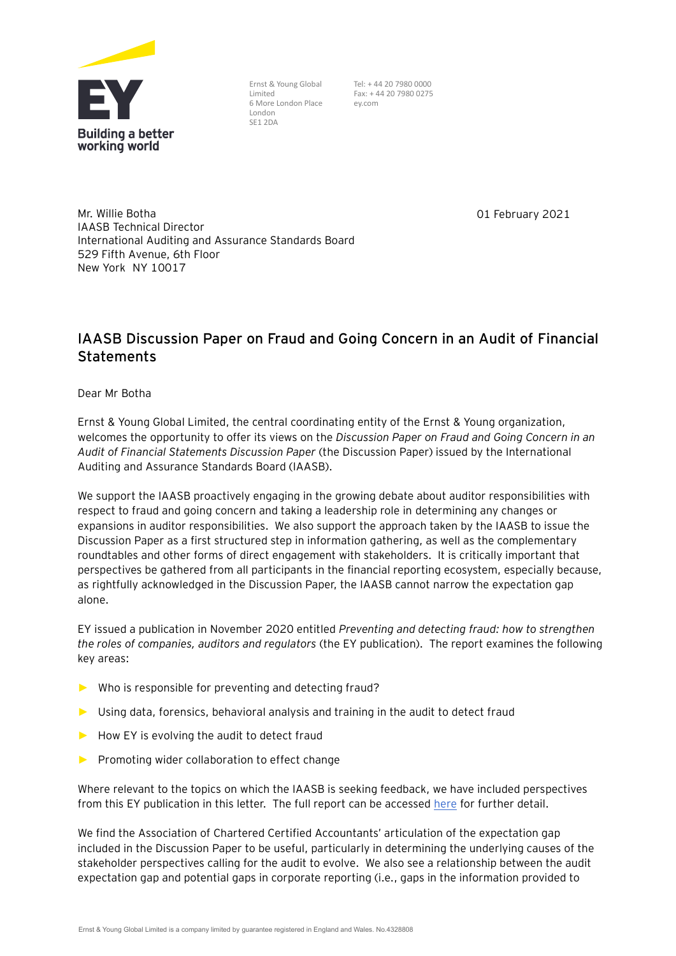

Ernst & Young Global Limited 6 More London Place London SE1 2DA

Tel: + 44 20 7980 0000 Fax: + 44 20 7980 0275 ey.com

01 February 2021

Mr. Willie Botha IAASB Technical Director International Auditing and Assurance Standards Board 529 Fifth Avenue, 6th Floor New York NY 10017

# **IAASB Discussion Paper on Fraud and Going Concern in an Audit of Financial Statements**

Dear Mr Botha

Ernst & Young Global Limited, the central coordinating entity of the Ernst & Young organization, welcomes the opportunity to offer its views on the *Discussion Paper on Fraud and Going Concern in an Audit of Financial Statements Discussion Paper* (the Discussion Paper) issued by the International Auditing and Assurance Standards Board (IAASB).

We support the IAASB proactively engaging in the growing debate about auditor responsibilities with respect to fraud and going concern and taking a leadership role in determining any changes or expansions in auditor responsibilities. We also support the approach taken by the IAASB to issue the Discussion Paper as a first structured step in information gathering, as well as the complementary roundtables and other forms of direct engagement with stakeholders. It is critically important that perspectives be gathered from all participants in the financial reporting ecosystem, especially because, as rightfully acknowledged in the Discussion Paper, the IAASB cannot narrow the expectation gap alone.

EY issued a publication in November 2020 entitled *Preventing and detecting fraud: how to strengthen the roles of companies, auditors and regulators* (the EY publication). The report examines the following key areas:

- ► Who is responsible for preventing and detecting fraud?
- ► Using data, forensics, behavioral analysis and training in the audit to detect fraud
- $\blacktriangleright$  How EY is evolving the audit to detect fraud
- ▶ Promoting wider collaboration to effect change

Where relevant to the topics on which the IAASB is seeking feedback, we have included perspectives from this EY publication in this letter. The full report can be accessed [here](https://www.ey.com/en_ao/assurance/preventing-and-detecting-fraud-how-to-strengthen-the-roles-of-companies-auditors-and-regulators) for further detail.

We find the Association of Chartered Certified Accountants' articulation of the expectation gap included in the Discussion Paper to be useful, particularly in determining the underlying causes of the stakeholder perspectives calling for the audit to evolve. We also see a relationship between the audit expectation gap and potential gaps in corporate reporting (i.e., gaps in the information provided to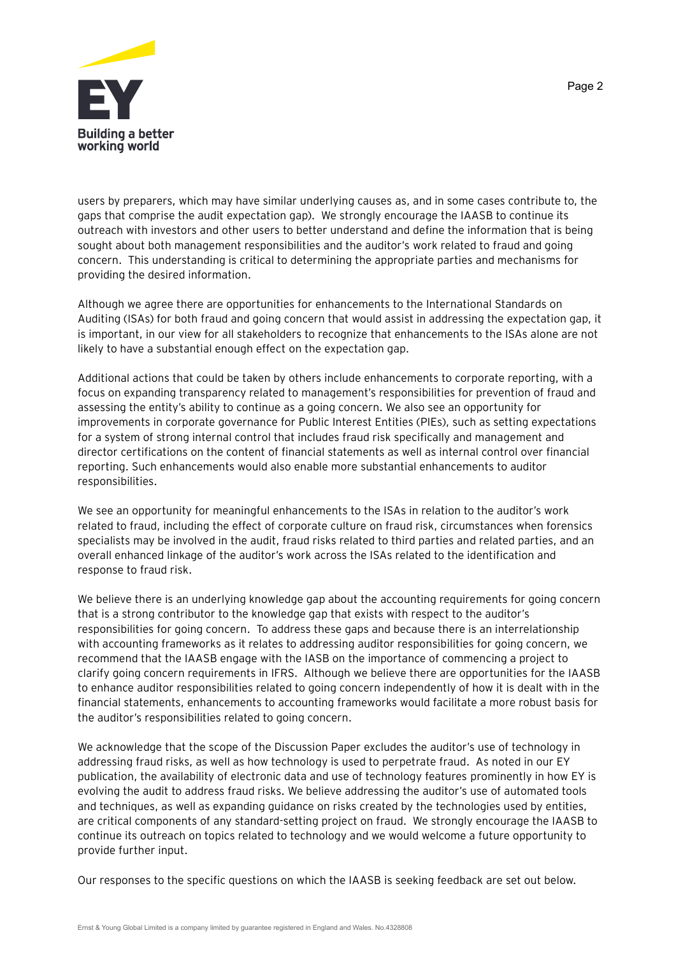

users by preparers, which may have similar underlying causes as, and in some cases contribute to, the gaps that comprise the audit expectation gap). We strongly encourage the IAASB to continue its outreach with investors and other users to better understand and define the information that is being sought about both management responsibilities and the auditor's work related to fraud and going concern. This understanding is critical to determining the appropriate parties and mechanisms for providing the desired information.

Although we agree there are opportunities for enhancements to the International Standards on Auditing (ISAs) for both fraud and going concern that would assist in addressing the expectation gap, it is important, in our view for all stakeholders to recognize that enhancements to the ISAs alone are not likely to have a substantial enough effect on the expectation gap.

Additional actions that could be taken by others include enhancements to corporate reporting, with a focus on expanding transparency related to management's responsibilities for prevention of fraud and assessing the entity's ability to continue as a going concern. We also see an opportunity for improvements in corporate governance for Public Interest Entities (PIEs), such as setting expectations for a system of strong internal control that includes fraud risk specifically and management and director certifications on the content of financial statements as well as internal control over financial reporting. Such enhancements would also enable more substantial enhancements to auditor responsibilities.

We see an opportunity for meaningful enhancements to the ISAs in relation to the auditor's work related to fraud, including the effect of corporate culture on fraud risk, circumstances when forensics specialists may be involved in the audit, fraud risks related to third parties and related parties, and an overall enhanced linkage of the auditor's work across the ISAs related to the identification and response to fraud risk.

We believe there is an underlying knowledge gap about the accounting requirements for going concern that is a strong contributor to the knowledge gap that exists with respect to the auditor's responsibilities for going concern. To address these gaps and because there is an interrelationship with accounting frameworks as it relates to addressing auditor responsibilities for going concern, we recommend that the IAASB engage with the IASB on the importance of commencing a project to clarify going concern requirements in IFRS. Although we believe there are opportunities for the IAASB to enhance auditor responsibilities related to going concern independently of how it is dealt with in the financial statements, enhancements to accounting frameworks would facilitate a more robust basis for the auditor's responsibilities related to going concern.

We acknowledge that the scope of the Discussion Paper excludes the auditor's use of technology in addressing fraud risks, as well as how technology is used to perpetrate fraud. As noted in our EY publication, the availability of electronic data and use of technology features prominently in how EY is evolving the audit to address fraud risks. We believe addressing the auditor's use of automated tools and techniques, as well as expanding guidance on risks created by the technologies used by entities, are critical components of any standard-setting project on fraud. We strongly encourage the IAASB to continue its outreach on topics related to technology and we would welcome a future opportunity to provide further input.

Our responses to the specific questions on which the IAASB is seeking feedback are set out below.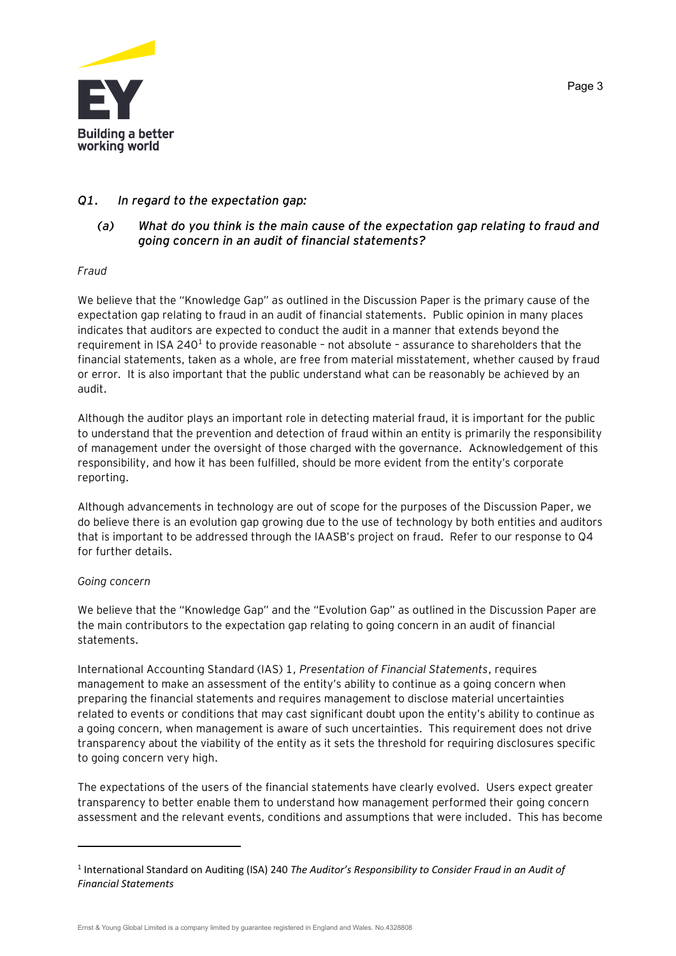

### *Q1. In regard to the expectation gap:*

## *(a) What do you think is the main cause of the expectation gap relating to fraud and going concern in an audit of financial statements?*

### *Fraud*

We believe that the "Knowledge Gap" as outlined in the Discussion Paper is the primary cause of the expectation gap relating to fraud in an audit of financial statements. Public opinion in many places indicates that auditors are expected to conduct the audit in a manner that extends beyond the requirement in ISA 240 $^{\rm 1}$  to provide reasonable – not absolute – assurance to shareholders that the financial statements, taken as a whole, are free from material misstatement, whether caused by fraud or error*.* It is also important that the public understand what can be reasonably be achieved by an audit.

Although the auditor plays an important role in detecting material fraud, it is important for the public to understand that the prevention and detection of fraud within an entity is primarily the responsibility of management under the oversight of those charged with the governance. Acknowledgement of this responsibility, and how it has been fulfilled, should be more evident from the entity's corporate reporting.

Although advancements in technology are out of scope for the purposes of the Discussion Paper, we do believe there is an evolution gap growing due to the use of technology by both entities and auditors that is important to be addressed through the IAASB's project on fraud. Refer to our response to Q4 for further details.

### *Going concern*

We believe that the "Knowledge Gap" and the "Evolution Gap" as outlined in the Discussion Paper are the main contributors to the expectation gap relating to going concern in an audit of financial statements.

International Accounting Standard (IAS) 1, *Presentation of Financial Statements*, requires management to make an assessment of the entity's ability to continue as a going concern when preparing the financial statements and requires management to disclose material uncertainties related to events or conditions that may cast significant doubt upon the entity's ability to continue as a going concern, when management is aware of such uncertainties. This requirement does not drive transparency about the viability of the entity as it sets the threshold for requiring disclosures specific to going concern very high.

The expectations of the users of the financial statements have clearly evolved. Users expect greater transparency to better enable them to understand how management performed their going concern assessment and the relevant events, conditions and assumptions that were included. This has become

<sup>&</sup>lt;sup>1</sup> International Standard on Auditing (ISA) 240 *The Auditor's Responsibility to Consider Fraud in an Audit of Financial Statements*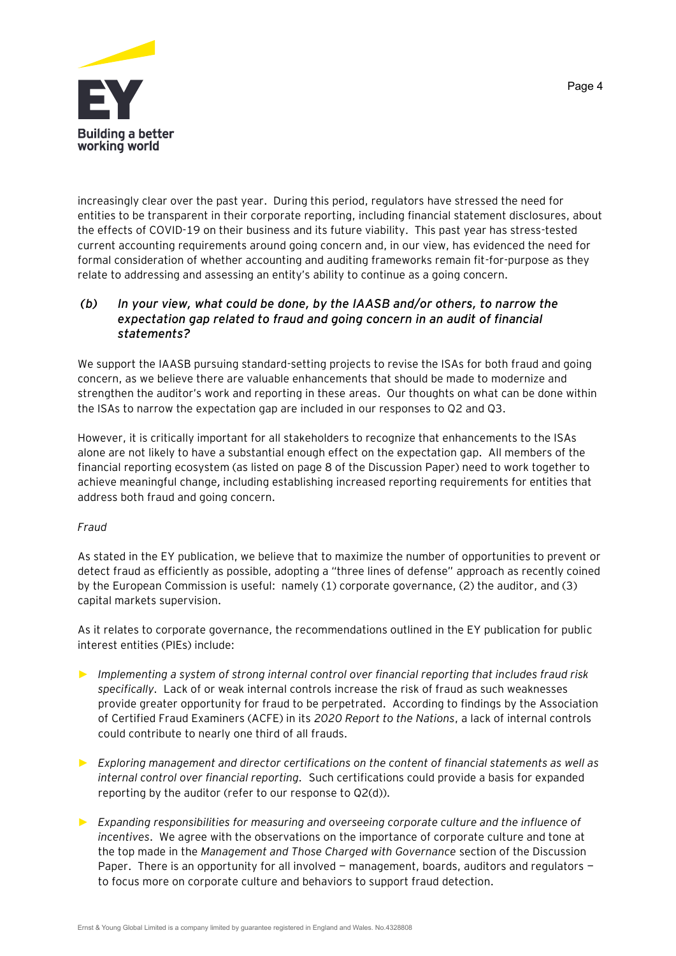

increasingly clear over the past year. During this period, regulators have stressed the need for entities to be transparent in their corporate reporting, including financial statement disclosures, about the effects of COVID-19 on their business and its future viability. This past year has stress-tested current accounting requirements around going concern and, in our view, has evidenced the need for formal consideration of whether accounting and auditing frameworks remain fit-for-purpose as they relate to addressing and assessing an entity's ability to continue as a going concern.

## *(b) In your view, what could be done, by the IAASB and/or others, to narrow the expectation gap related to fraud and going concern in an audit of financial statements?*

We support the IAASB pursuing standard-setting projects to revise the ISAs for both fraud and going concern, as we believe there are valuable enhancements that should be made to modernize and strengthen the auditor's work and reporting in these areas. Our thoughts on what can be done within the ISAs to narrow the expectation gap are included in our responses to Q2 and Q3.

However, it is critically important for all stakeholders to recognize that enhancements to the ISAs alone are not likely to have a substantial enough effect on the expectation gap. All members of the financial reporting ecosystem (as listed on page 8 of the Discussion Paper) need to work together to achieve meaningful change, including establishing increased reporting requirements for entities that address both fraud and going concern.

### *Fraud*

As stated in the EY publication, we believe that to maximize the number of opportunities to prevent or detect fraud as efficiently as possible, adopting a "three lines of defense" approach as recently coined by the European Commission is useful: namely (1) corporate governance, (2) the auditor, and (3) capital markets supervision.

As it relates to corporate governance, the recommendations outlined in the EY publication for public interest entities (PIEs) include:

- ► *Implementing a system of strong internal control over financial reporting that includes fraud risk specifically.* Lack of or weak internal controls increase the risk of fraud as such weaknesses provide greater opportunity for fraud to be perpetrated. According to findings by the Association of Certified Fraud Examiners (ACFE) in its *2020 Report to the Nations*, a lack of internal controls could contribute to nearly one third of all frauds.
- ► *Exploring management and director certifications on the content of financial statements as well as internal control over financial reporting.* Such certifications could provide a basis for expanded reporting by the auditor (refer to our response to Q2(d)).
- ► *Expanding responsibilities for measuring and overseeing corporate culture and the influence of incentives*. We agree with the observations on the importance of corporate culture and tone at the top made in the *Management and Those Charged with Governance* section of the Discussion Paper. There is an opportunity for all involved – management, boards, auditors and regulators – to focus more on corporate culture and behaviors to support fraud detection.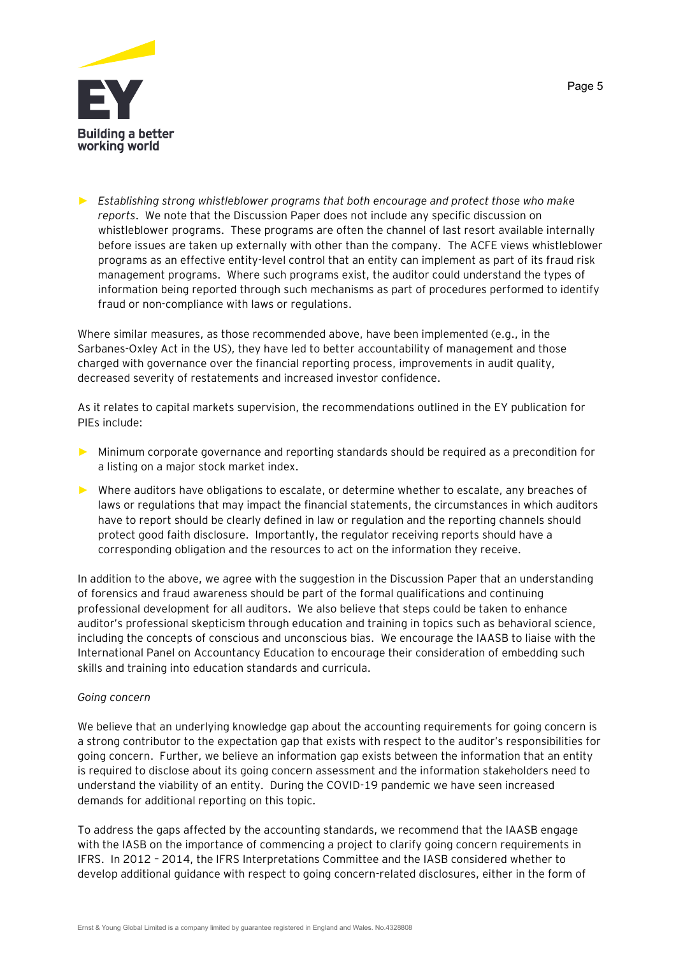

► *Establishing strong whistleblower programs that both encourage and protect those who make reports*. We note that the Discussion Paper does not include any specific discussion on whistleblower programs. These programs are often the channel of last resort available internally before issues are taken up externally with other than the company. The ACFE views whistleblower programs as an effective entity-level control that an entity can implement as part of its fraud risk management programs. Where such programs exist, the auditor could understand the types of information being reported through such mechanisms as part of procedures performed to identify fraud or non-compliance with laws or regulations.

Where similar measures, as those recommended above, have been implemented (e.g., in the Sarbanes-Oxley Act in the US), they have led to better accountability of management and those charged with governance over the financial reporting process, improvements in audit quality, decreased severity of restatements and increased investor confidence.

As it relates to capital markets supervision, the recommendations outlined in the EY publication for PIEs include:

- ► Minimum corporate governance and reporting standards should be required as a precondition for a listing on a major stock market index.
- ► Where auditors have obligations to escalate, or determine whether to escalate, any breaches of laws or regulations that may impact the financial statements, the circumstances in which auditors have to report should be clearly defined in law or regulation and the reporting channels should protect good faith disclosure. Importantly, the regulator receiving reports should have a corresponding obligation and the resources to act on the information they receive.

In addition to the above, we agree with the suggestion in the Discussion Paper that an understanding of forensics and fraud awareness should be part of the formal qualifications and continuing professional development for all auditors. We also believe that steps could be taken to enhance auditor's professional skepticism through education and training in topics such as behavioral science, including the concepts of conscious and unconscious bias. We encourage the IAASB to liaise with the International Panel on Accountancy Education to encourage their consideration of embedding such skills and training into education standards and curricula.

### *Going concern*

We believe that an underlying knowledge gap about the accounting requirements for going concern is a strong contributor to the expectation gap that exists with respect to the auditor's responsibilities for going concern. Further, we believe an information gap exists between the information that an entity is required to disclose about its going concern assessment and the information stakeholders need to understand the viability of an entity. During the COVID-19 pandemic we have seen increased demands for additional reporting on this topic.

To address the gaps affected by the accounting standards, we recommend that the IAASB engage with the IASB on the importance of commencing a project to clarify going concern requirements in IFRS. In 2012 – 2014, the IFRS Interpretations Committee and the IASB considered whether to develop additional guidance with respect to going concern-related disclosures, either in the form of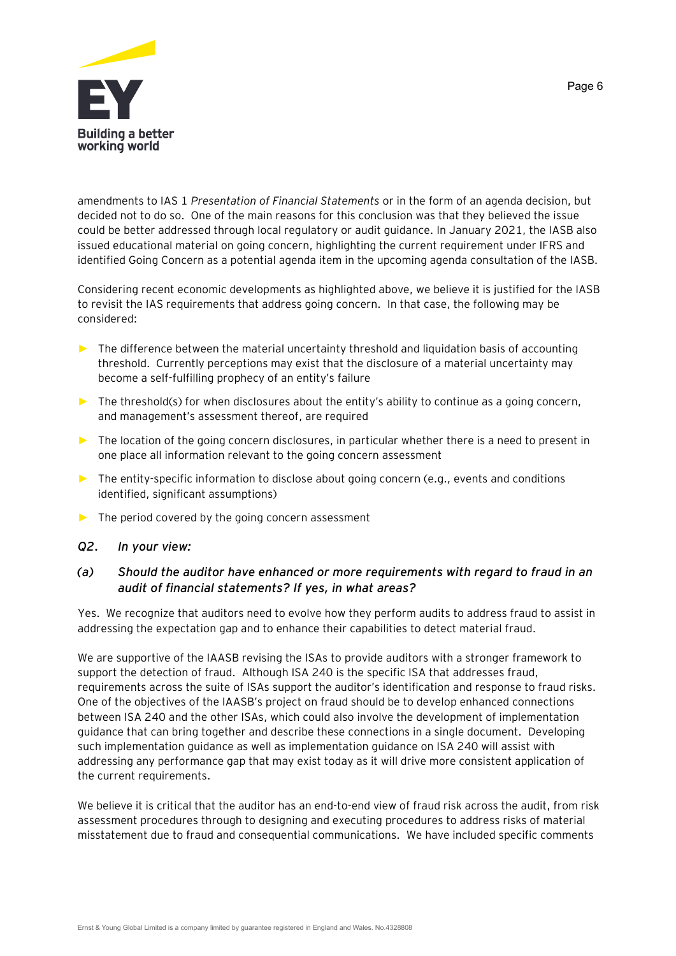

amendments to IAS 1 *Presentation of Financial Statements* or in the form of an agenda decision, but decided not to do so. One of the main reasons for this conclusion was that they believed the issue could be better addressed through local regulatory or audit guidance. In January 2021, the IASB also issued educational material on going concern, highlighting the current requirement under IFRS and identified Going Concern as a potential agenda item in the upcoming agenda consultation of the IASB.

Considering recent economic developments as highlighted above, we believe it is justified for the IASB to revisit the IAS requirements that address going concern. In that case, the following may be considered:

- ► The difference between the material uncertainty threshold and liquidation basis of accounting threshold. Currently perceptions may exist that the disclosure of a material uncertainty may become a self-fulfilling prophecy of an entity's failure
- ► The threshold(s) for when disclosures about the entity's ability to continue as a going concern, and management's assessment thereof, are required
- ► The location of the going concern disclosures, in particular whether there is a need to present in one place all information relevant to the going concern assessment
- ► The entity-specific information to disclose about going concern (e.g., events and conditions identified, significant assumptions)
- $\triangleright$  The period covered by the going concern assessment

### *Q2. In your view:*

## *(a) Should the auditor have enhanced or more requirements with regard to fraud in an audit of financial statements? If yes, in what areas?*

Yes. We recognize that auditors need to evolve how they perform audits to address fraud to assist in addressing the expectation gap and to enhance their capabilities to detect material fraud.

We are supportive of the IAASB revising the ISAs to provide auditors with a stronger framework to support the detection of fraud. Although ISA 240 is the specific ISA that addresses fraud, requirements across the suite of ISAs support the auditor's identification and response to fraud risks. One of the objectives of the IAASB's project on fraud should be to develop enhanced connections between ISA 240 and the other ISAs, which could also involve the development of implementation guidance that can bring together and describe these connections in a single document. Developing such implementation guidance as well as implementation guidance on ISA 240 will assist with addressing any performance gap that may exist today as it will drive more consistent application of the current requirements.

We believe it is critical that the auditor has an end-to-end view of fraud risk across the audit, from risk assessment procedures through to designing and executing procedures to address risks of material misstatement due to fraud and consequential communications. We have included specific comments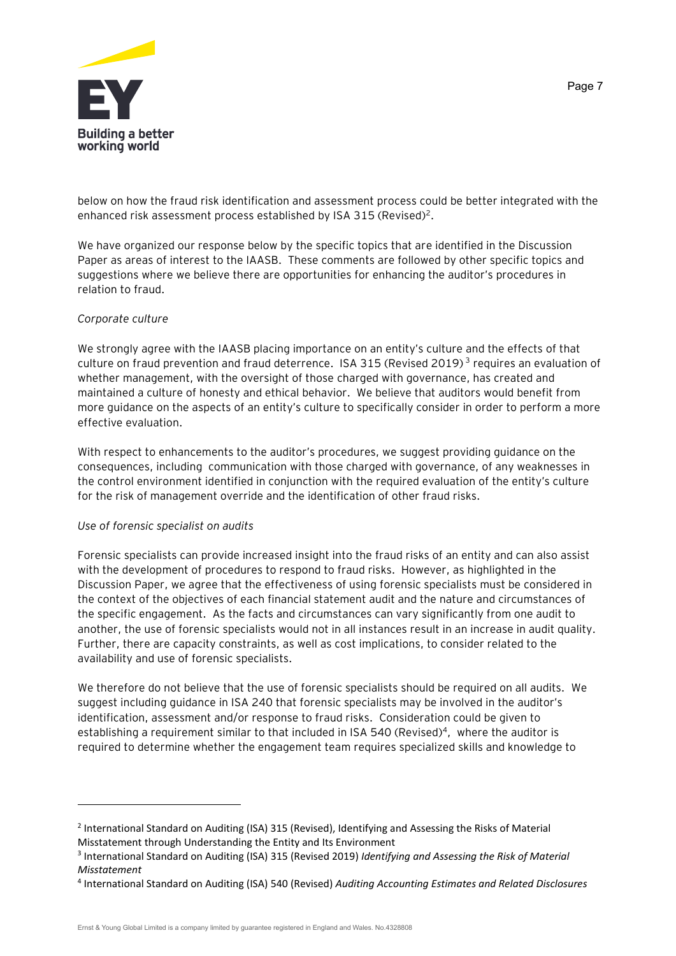

below on how the fraud risk identification and assessment process could be better integrated with the enhanced risk assessment process established by ISA 315 (Revised)<sup>2</sup>.

We have organized our response below by the specific topics that are identified in the Discussion Paper as areas of interest to the IAASB. These comments are followed by other specific topics and suggestions where we believe there are opportunities for enhancing the auditor's procedures in relation to fraud.

#### *Corporate culture*

We strongly agree with the IAASB placing importance on an entity's culture and the effects of that culture on fraud prevention and fraud deterrence. ISA 315 (Revised 2019)<sup>3</sup> requires an evaluation of whether management, with the oversight of those charged with governance, has created and maintained a culture of honesty and ethical behavior. We believe that auditors would benefit from more guidance on the aspects of an entity's culture to specifically consider in order to perform a more effective evaluation.

With respect to enhancements to the auditor's procedures, we suggest providing guidance on the consequences, including communication with those charged with governance, of any weaknesses in the control environment identified in conjunction with the required evaluation of the entity's culture for the risk of management override and the identification of other fraud risks.

### *Use of forensic specialist on audits*

Forensic specialists can provide increased insight into the fraud risks of an entity and can also assist with the development of procedures to respond to fraud risks. However, as highlighted in the Discussion Paper, we agree that the effectiveness of using forensic specialists must be considered in the context of the objectives of each financial statement audit and the nature and circumstances of the specific engagement. As the facts and circumstances can vary significantly from one audit to another, the use of forensic specialists would not in all instances result in an increase in audit quality. Further, there are capacity constraints, as well as cost implications, to consider related to the availability and use of forensic specialists.

We therefore do not believe that the use of forensic specialists should be required on all audits. We suggest including guidance in ISA 240 that forensic specialists may be involved in the auditor's identification, assessment and/or response to fraud risks. Consideration could be given to establishing a requirement similar to that included in ISA 540 (Revised)<sup>4</sup>, where the auditor is required to determine whether the engagement team requires specialized skills and knowledge to

<sup>&</sup>lt;sup>2</sup> International Standard on Auditing (ISA) 315 (Revised), Identifying and Assessing the Risks of Material Misstatement through Understanding the Entity and Its Environment

<sup>3</sup> International Standard on Auditing (ISA) 315 (Revised 2019) *Identifying and Assessing the Risk of Material Misstatement* 

<sup>4</sup> International Standard on Auditing (ISA) 540 (Revised) *Auditing Accounting Estimates and Related Disclosures*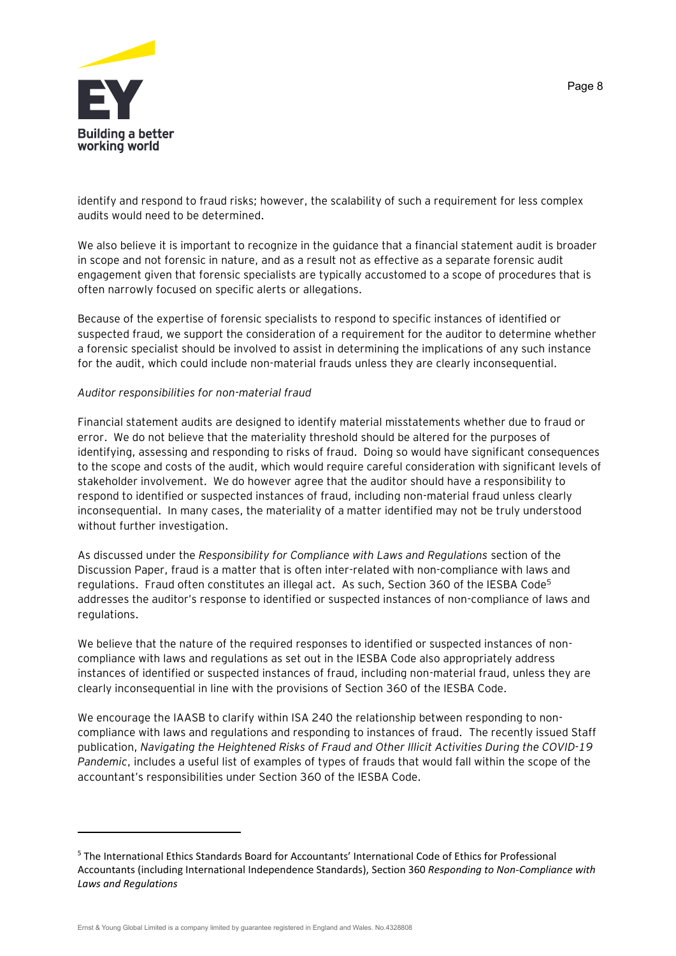

identify and respond to fraud risks; however, the scalability of such a requirement for less complex audits would need to be determined.

We also believe it is important to recognize in the guidance that a financial statement audit is broader in scope and not forensic in nature, and as a result not as effective as a separate forensic audit engagement given that forensic specialists are typically accustomed to a scope of procedures that is often narrowly focused on specific alerts or allegations.

Because of the expertise of forensic specialists to respond to specific instances of identified or suspected fraud, we support the consideration of a requirement for the auditor to determine whether a forensic specialist should be involved to assist in determining the implications of any such instance for the audit, which could include non-material frauds unless they are clearly inconsequential.

### *Auditor responsibilities for non-material fraud*

Financial statement audits are designed to identify material misstatements whether due to fraud or error. We do not believe that the materiality threshold should be altered for the purposes of identifying, assessing and responding to risks of fraud. Doing so would have significant consequences to the scope and costs of the audit, which would require careful consideration with significant levels of stakeholder involvement. We do however agree that the auditor should have a responsibility to respond to identified or suspected instances of fraud, including non-material fraud unless clearly inconsequential. In many cases, the materiality of a matter identified may not be truly understood without further investigation.

As discussed under the *Responsibility for Compliance with Laws and Regulations* section of the Discussion Paper, fraud is a matter that is often inter-related with non-compliance with laws and regulations. Fraud often constitutes an illegal act. As such, Section 360 of the IESBA Code<sup>5</sup> addresses the auditor's response to identified or suspected instances of non-compliance of laws and regulations.

We believe that the nature of the required responses to identified or suspected instances of noncompliance with laws and regulations as set out in the IESBA Code also appropriately address instances of identified or suspected instances of fraud, including non-material fraud, unless they are clearly inconsequential in line with the provisions of Section 360 of the IESBA Code.

We encourage the IAASB to clarify within ISA 240 the relationship between responding to noncompliance with laws and regulations and responding to instances of fraud. The recently issued Staff publication, *Navigating the Heightened Risks of Fraud and Other Illicit Activities During the COVID-19 Pandemic*, includes a useful list of examples of types of frauds that would fall within the scope of the accountant's responsibilities under Section 360 of the IESBA Code.

<sup>5</sup> The International Ethics Standards Board for Accountants' International Code of Ethics for Professional Accountants (including International Independence Standards), Section 360 *Responding to Non-Compliance with Laws and Regulations*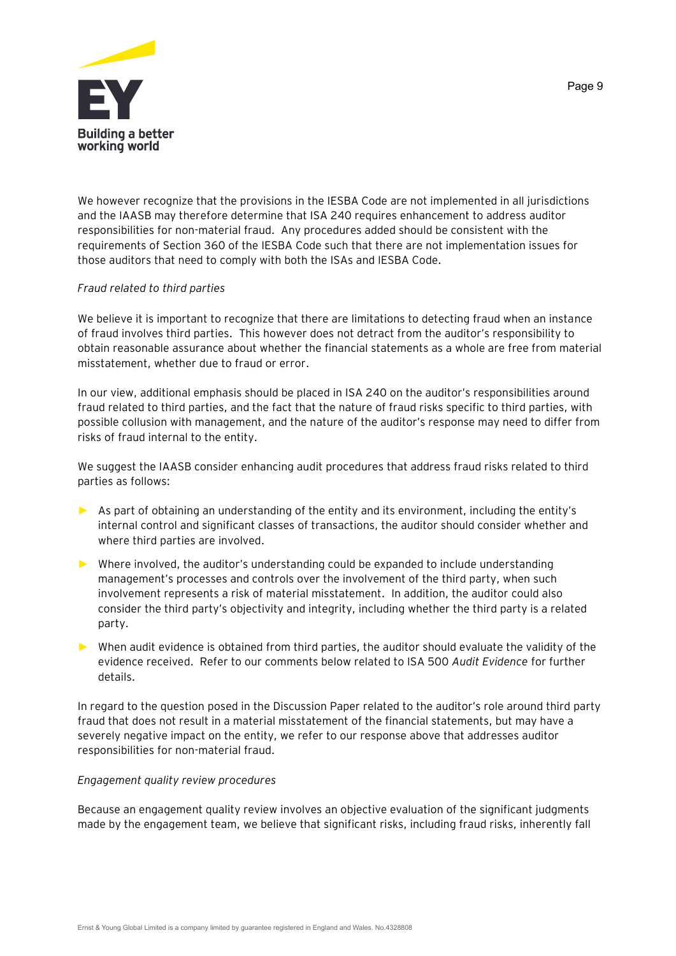

We however recognize that the provisions in the IESBA Code are not implemented in all jurisdictions and the IAASB may therefore determine that ISA 240 requires enhancement to address auditor responsibilities for non-material fraud. Any procedures added should be consistent with the requirements of Section 360 of the IESBA Code such that there are not implementation issues for those auditors that need to comply with both the ISAs and IESBA Code.

#### *Fraud related to third parties*

We believe it is important to recognize that there are limitations to detecting fraud when an instance of fraud involves third parties. This however does not detract from the auditor's responsibility to obtain reasonable assurance about whether the financial statements as a whole are free from material misstatement, whether due to fraud or error.

In our view, additional emphasis should be placed in ISA 240 on the auditor's responsibilities around fraud related to third parties, and the fact that the nature of fraud risks specific to third parties, with possible collusion with management, and the nature of the auditor's response may need to differ from risks of fraud internal to the entity.

We suggest the IAASB consider enhancing audit procedures that address fraud risks related to third parties as follows:

- ► As part of obtaining an understanding of the entity and its environment, including the entity's internal control and significant classes of transactions, the auditor should consider whether and where third parties are involved.
- ► Where involved, the auditor's understanding could be expanded to include understanding management's processes and controls over the involvement of the third party, when such involvement represents a risk of material misstatement. In addition, the auditor could also consider the third party's objectivity and integrity, including whether the third party is a related party.
- ► When audit evidence is obtained from third parties, the auditor should evaluate the validity of the evidence received. Refer to our comments below related to ISA 500 *Audit Evidence* for further details.

In regard to the question posed in the Discussion Paper related to the auditor's role around third party fraud that does not result in a material misstatement of the financial statements, but may have a severely negative impact on the entity, we refer to our response above that addresses auditor responsibilities for non-material fraud.

#### *Engagement quality review procedures*

Because an engagement quality review involves an objective evaluation of the significant judgments made by the engagement team, we believe that significant risks, including fraud risks, inherently fall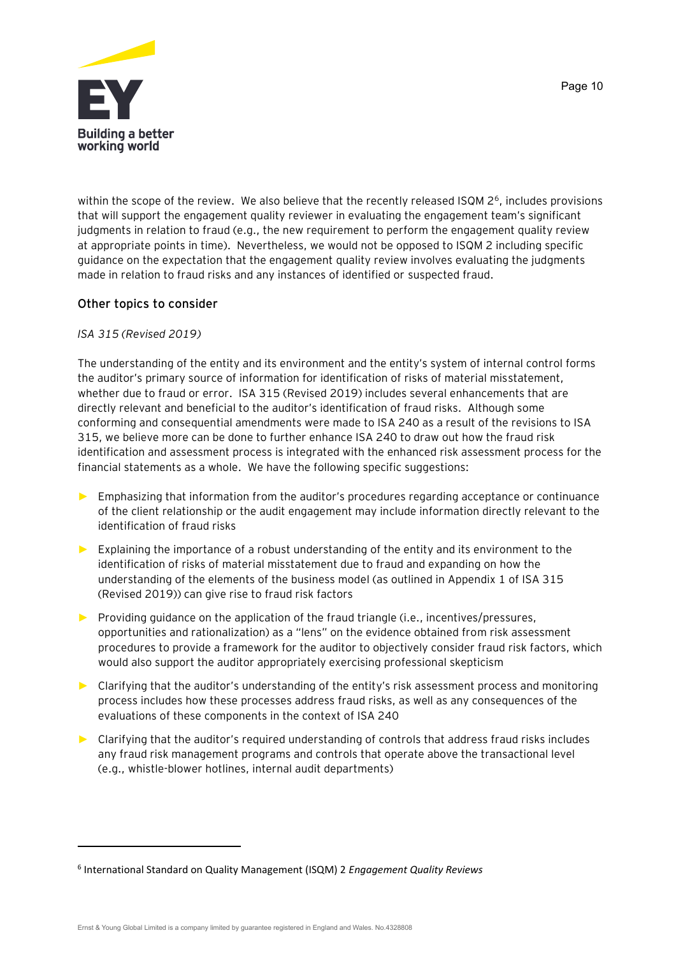



within the scope of the review. We also believe that the recently released ISQM 2<sup>6</sup>, includes provisions that will support the engagement quality reviewer in evaluating the engagement team's significant judgments in relation to fraud (e.g., the new requirement to perform the engagement quality review at appropriate points in time). Nevertheless, we would not be opposed to ISQM 2 including specific guidance on the expectation that the engagement quality review involves evaluating the judgments made in relation to fraud risks and any instances of identified or suspected fraud.

### **Other topics to consider**

*ISA 315 (Revised 2019)*

The understanding of the entity and its environment and the entity's system of internal control forms the auditor's primary source of information for identification of risks of material misstatement, whether due to fraud or error. ISA 315 (Revised 2019) includes several enhancements that are directly relevant and beneficial to the auditor's identification of fraud risks. Although some conforming and consequential amendments were made to ISA 240 as a result of the revisions to ISA 315, we believe more can be done to further enhance ISA 240 to draw out how the fraud risk identification and assessment process is integrated with the enhanced risk assessment process for the financial statements as a whole. We have the following specific suggestions:

- Emphasizing that information from the auditor's procedures regarding acceptance or continuance of the client relationship or the audit engagement may include information directly relevant to the identification of fraud risks
- ► Explaining the importance of a robust understanding of the entity and its environment to the identification of risks of material misstatement due to fraud and expanding on how the understanding of the elements of the business model (as outlined in Appendix 1 of ISA 315 (Revised 2019)) can give rise to fraud risk factors
- ► Providing guidance on the application of the fraud triangle (i.e., incentives/pressures, opportunities and rationalization) as a "lens" on the evidence obtained from risk assessment procedures to provide a framework for the auditor to objectively consider fraud risk factors, which would also support the auditor appropriately exercising professional skepticism
- ► Clarifying that the auditor's understanding of the entity's risk assessment process and monitoring process includes how these processes address fraud risks, as well as any consequences of the evaluations of these components in the context of ISA 240
- ► Clarifying that the auditor's required understanding of controls that address fraud risks includes any fraud risk management programs and controls that operate above the transactional level (e.g., whistle-blower hotlines, internal audit departments)

<sup>6</sup> International Standard on Quality Management (ISQM) 2 *Engagement Quality Reviews*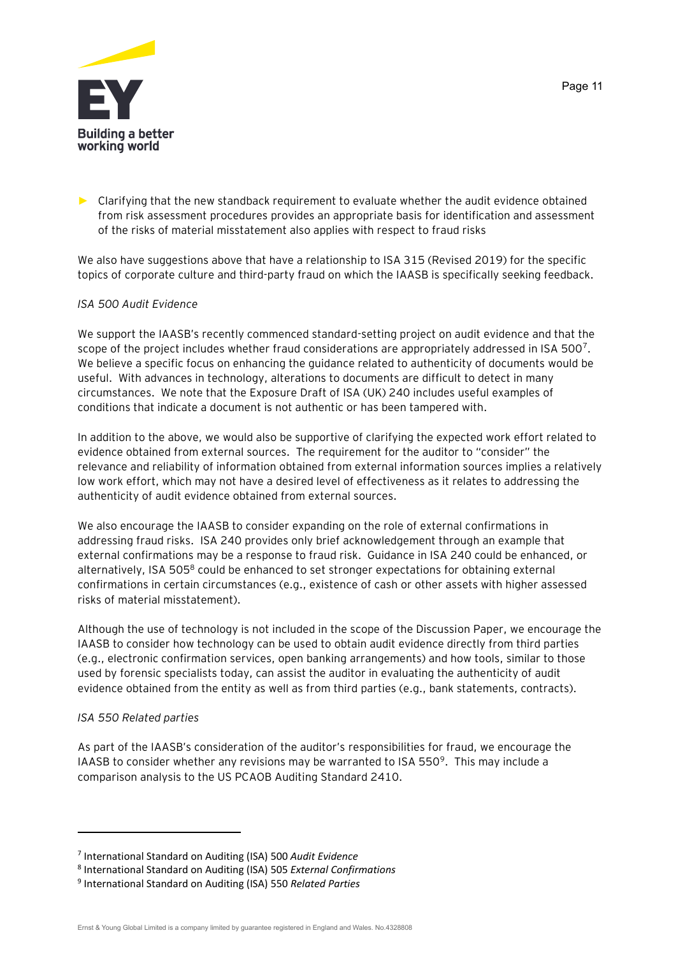

► Clarifying that the new standback requirement to evaluate whether the audit evidence obtained from risk assessment procedures provides an appropriate basis for identification and assessment of the risks of material misstatement also applies with respect to fraud risks

We also have suggestions above that have a relationship to ISA 315 (Revised 2019) for the specific topics of corporate culture and third-party fraud on which the IAASB is specifically seeking feedback.

### *ISA 500 Audit Evidence*

We support the IAASB's recently commenced standard-setting project on audit evidence and that the scope of the project includes whether fraud considerations are appropriately addressed in ISA 500 $^7$ . We believe a specific focus on enhancing the guidance related to authenticity of documents would be useful. With advances in technology, alterations to documents are difficult to detect in many circumstances. We note that the Exposure Draft of ISA (UK) 240 includes useful examples of conditions that indicate a document is not authentic or has been tampered with.

In addition to the above, we would also be supportive of clarifying the expected work effort related to evidence obtained from external sources. The requirement for the auditor to "consider" the relevance and reliability of information obtained from external information sources implies a relatively low work effort, which may not have a desired level of effectiveness as it relates to addressing the authenticity of audit evidence obtained from external sources.

We also encourage the IAASB to consider expanding on the role of external confirmations in addressing fraud risks. ISA 240 provides only brief acknowledgement through an example that external confirmations may be a response to fraud risk. Guidance in ISA 240 could be enhanced, or alternatively, ISA 505<sup>8</sup> could be enhanced to set stronger expectations for obtaining external confirmations in certain circumstances (e.g., existence of cash or other assets with higher assessed risks of material misstatement).

Although the use of technology is not included in the scope of the Discussion Paper, we encourage the IAASB to consider how technology can be used to obtain audit evidence directly from third parties (e.g., electronic confirmation services, open banking arrangements) and how tools, similar to those used by forensic specialists today, can assist the auditor in evaluating the authenticity of audit evidence obtained from the entity as well as from third parties (e.g., bank statements, contracts).

### *ISA 550 Related parties*

As part of the IAASB's consideration of the auditor's responsibilities for fraud, we encourage the IAASB to consider whether any revisions may be warranted to ISA 550 $^{\circ}$ . This may include a comparison analysis to the US PCAOB Auditing Standard 2410.

<sup>7</sup> International Standard on Auditing (ISA) 500 *Audit Evidence*

<sup>8</sup> International Standard on Auditing (ISA) 505 *External Confirmations*

<sup>9</sup> International Standard on Auditing (ISA) 550 *Related Parties*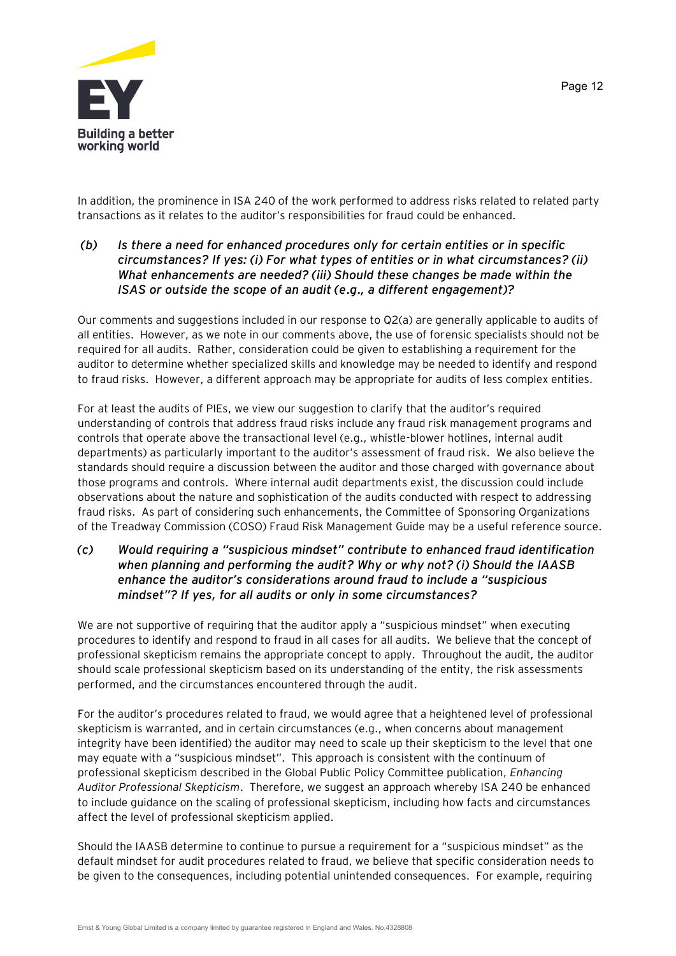



In addition, the prominence in ISA 240 of the work performed to address risks related to related party transactions as it relates to the auditor's responsibilities for fraud could be enhanced.

### *(b) Is there a need for enhanced procedures only for certain entities or in specific circumstances? If yes: (i) For what types of entities or in what circumstances? (ii) What enhancements are needed? (iii) Should these changes be made within the ISAS or outside the scope of an audit (e.g., a different engagement)?*

Our comments and suggestions included in our response to Q2(a) are generally applicable to audits of all entities. However, as we note in our comments above, the use of forensic specialists should not be required for all audits. Rather, consideration could be given to establishing a requirement for the auditor to determine whether specialized skills and knowledge may be needed to identify and respond to fraud risks. However, a different approach may be appropriate for audits of less complex entities.

For at least the audits of PIEs, we view our suggestion to clarify that the auditor's required understanding of controls that address fraud risks include any fraud risk management programs and controls that operate above the transactional level (e.g., whistle-blower hotlines, internal audit departments) as particularly important to the auditor's assessment of fraud risk. We also believe the standards should require a discussion between the auditor and those charged with governance about those programs and controls. Where internal audit departments exist, the discussion could include observations about the nature and sophistication of the audits conducted with respect to addressing fraud risks. As part of considering such enhancements, the Committee of Sponsoring Organizations of the Treadway Commission (COSO) Fraud Risk Management Guide may be a useful reference source.

## *(c) Would requiring a "suspicious mindset" contribute to enhanced fraud identification when planning and performing the audit? Why or why not? (i) Should the IAASB enhance the auditor's considerations around fraud to include a "suspicious mindset"? If yes, for all audits or only in some circumstances?*

We are not supportive of requiring that the auditor apply a "suspicious mindset" when executing procedures to identify and respond to fraud in all cases for all audits. We believe that the concept of professional skepticism remains the appropriate concept to apply. Throughout the audit*,* the auditor should scale professional skepticism based on its understanding of the entity, the risk assessments performed, and the circumstances encountered through the audit.

For the auditor's procedures related to fraud, we would agree that a heightened level of professional skepticism is warranted, and in certain circumstances (e.g., when concerns about management integrity have been identified) the auditor may need to scale up their skepticism to the level that one may equate with a "suspicious mindset". This approach is consistent with the continuum of professional skepticism described in the Global Public Policy Committee publication, *Enhancing Auditor Professional Skepticism*. Therefore, we suggest an approach whereby ISA 240 be enhanced to include guidance on the scaling of professional skepticism, including how facts and circumstances affect the level of professional skepticism applied.

Should the IAASB determine to continue to pursue a requirement for a "suspicious mindset" as the default mindset for audit procedures related to fraud, we believe that specific consideration needs to be given to the consequences, including potential unintended consequences. For example, requiring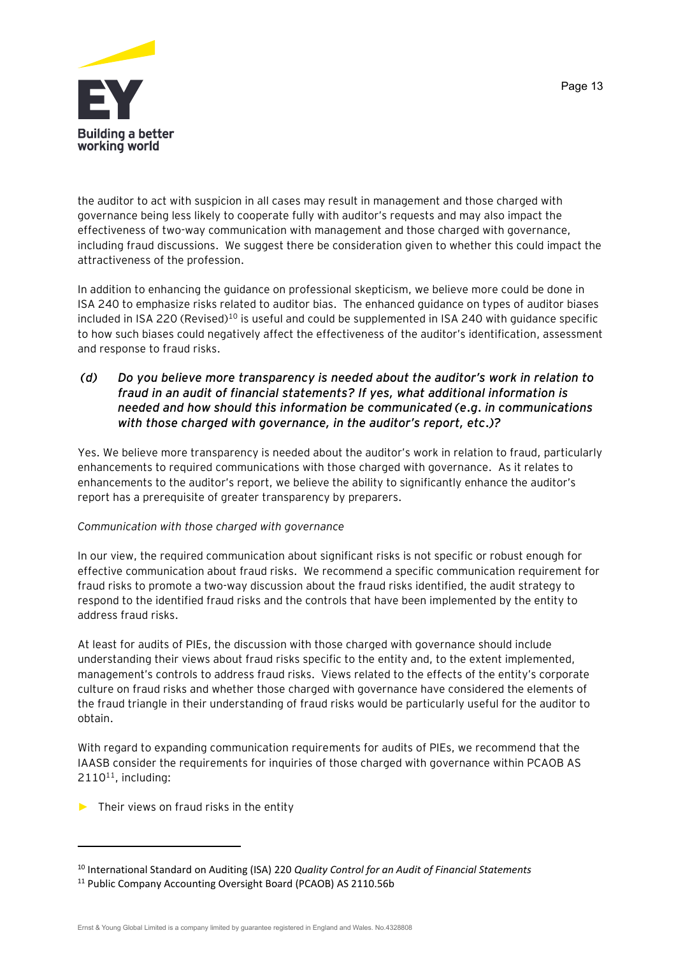



the auditor to act with suspicion in all cases may result in management and those charged with governance being less likely to cooperate fully with auditor's requests and may also impact the effectiveness of two-way communication with management and those charged with governance, including fraud discussions. We suggest there be consideration given to whether this could impact the attractiveness of the profession.

In addition to enhancing the guidance on professional skepticism, we believe more could be done in ISA 240 to emphasize risks related to auditor bias. The enhanced guidance on types of auditor biases included in ISA 220 (Revised)<sup>10</sup> is useful and could be supplemented in ISA 240 with quidance specific to how such biases could negatively affect the effectiveness of the auditor's identification, assessment and response to fraud risks.

*(d) Do you believe more transparency is needed about the auditor's work in relation to fraud in an audit of financial statements? If yes, what additional information is needed and how should this information be communicated (e.g. in communications with those charged with governance, in the auditor's report, etc.)?*

Yes. We believe more transparency is needed about the auditor's work in relation to fraud, particularly enhancements to required communications with those charged with governance. As it relates to enhancements to the auditor's report, we believe the ability to significantly enhance the auditor's report has a prerequisite of greater transparency by preparers.

### *Communication with those charged with governance*

In our view, the required communication about significant risks is not specific or robust enough for effective communication about fraud risks. We recommend a specific communication requirement for fraud risks to promote a two-way discussion about the fraud risks identified, the audit strategy to respond to the identified fraud risks and the controls that have been implemented by the entity to address fraud risks.

At least for audits of PIEs, the discussion with those charged with governance should include understanding their views about fraud risks specific to the entity and, to the extent implemented, management's controls to address fraud risks. Views related to the effects of the entity's corporate culture on fraud risks and whether those charged with governance have considered the elements of the fraud triangle in their understanding of fraud risks would be particularly useful for the auditor to obtain.

With regard to expanding communication requirements for audits of PIEs, we recommend that the IAASB consider the requirements for inquiries of those charged with governance within PCAOB AS  $2110^{11}$ , including:

► Their views on fraud risks in the entity

<sup>10</sup> International Standard on Auditing (ISA) 220 *Quality Control for an Audit of Financial Statements* <sup>11</sup> Public Company Accounting Oversight Board (PCAOB) AS 2110.56b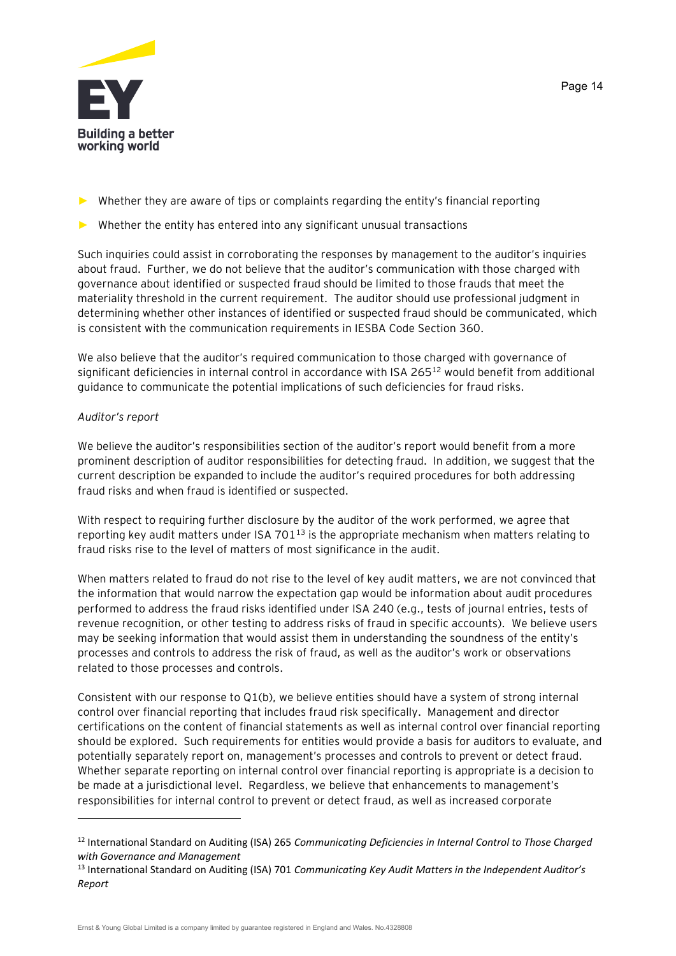

- ► Whether they are aware of tips or complaints regarding the entity's financial reporting
- ► Whether the entity has entered into any significant unusual transactions

Such inquiries could assist in corroborating the responses by management to the auditor's inquiries about fraud. Further, we do not believe that the auditor's communication with those charged with governance about identified or suspected fraud should be limited to those frauds that meet the materiality threshold in the current requirement. The auditor should use professional judgment in determining whether other instances of identified or suspected fraud should be communicated, which is consistent with the communication requirements in IESBA Code Section 360.

We also believe that the auditor's required communication to those charged with governance of significant deficiencies in internal control in accordance with ISA 265<sup>12</sup> would benefit from additional guidance to communicate the potential implications of such deficiencies for fraud risks.

### *Auditor's report*

We believe the auditor's responsibilities section of the auditor's report would benefit from a more prominent description of auditor responsibilities for detecting fraud. In addition, we suggest that the current description be expanded to include the auditor's required procedures for both addressing fraud risks and when fraud is identified or suspected.

With respect to requiring further disclosure by the auditor of the work performed, we agree that reporting key audit matters under ISA 701<sup>13</sup> is the appropriate mechanism when matters relating to fraud risks rise to the level of matters of most significance in the audit.

When matters related to fraud do not rise to the level of key audit matters, we are not convinced that the information that would narrow the expectation gap would be information about audit procedures performed to address the fraud risks identified under ISA 240 (e.g., tests of journal entries, tests of revenue recognition, or other testing to address risks of fraud in specific accounts). We believe users may be seeking information that would assist them in understanding the soundness of the entity's processes and controls to address the risk of fraud, as well as the auditor's work or observations related to those processes and controls.

Consistent with our response to Q1(b), we believe entities should have a system of strong internal control over financial reporting that includes fraud risk specifically. Management and director certifications on the content of financial statements as well as internal control over financial reporting should be explored. Such requirements for entities would provide a basis for auditors to evaluate, and potentially separately report on, management's processes and controls to prevent or detect fraud. Whether separate reporting on internal control over financial reporting is appropriate is a decision to be made at a jurisdictional level. Regardless, we believe that enhancements to management's responsibilities for internal control to prevent or detect fraud, as well as increased corporate

<sup>12</sup> International Standard on Auditing (ISA) 265 *Communicating Deficiencies in Internal Control to Those Charged with Governance and Management*

<sup>13</sup> International Standard on Auditing (ISA) 701 *Communicating Key Audit Matters in the Independent Auditor's Report*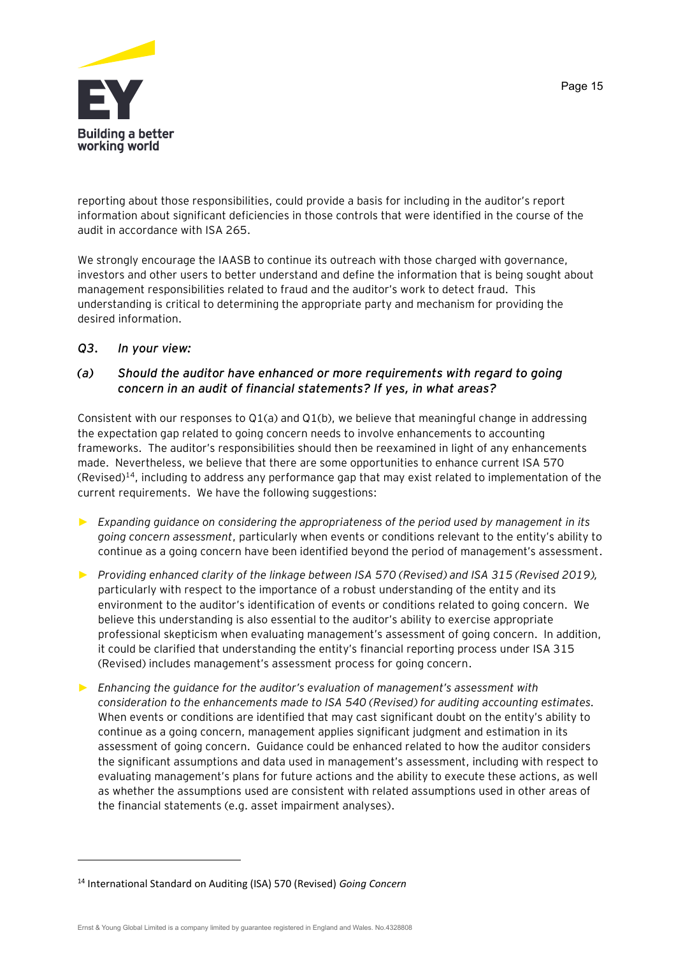



reporting about those responsibilities, could provide a basis for including in the auditor's report information about significant deficiencies in those controls that were identified in the course of the audit in accordance with ISA 265.

We strongly encourage the IAASB to continue its outreach with those charged with governance, investors and other users to better understand and define the information that is being sought about management responsibilities related to fraud and the auditor's work to detect fraud. This understanding is critical to determining the appropriate party and mechanism for providing the desired information.

## *Q3. In your view:*

## *(a) Should the auditor have enhanced or more requirements with regard to going concern in an audit of financial statements? If yes, in what areas?*

Consistent with our responses to Q1(a) and Q1(b), we believe that meaningful change in addressing the expectation gap related to going concern needs to involve enhancements to accounting frameworks. The auditor's responsibilities should then be reexamined in light of any enhancements made. Nevertheless, we believe that there are some opportunities to enhance current ISA 570 (Revised)<sup>14</sup>, including to address any performance gap that may exist related to implementation of the current requirements. We have the following suggestions:

- ► *Expanding guidance on considering the appropriateness of the period used by management in its going concern assessment*, particularly when events or conditions relevant to the entity's ability to continue as a going concern have been identified beyond the period of management's assessment.
- ► *Providing enhanced clarity of the linkage between ISA 570 (Revised) and ISA 315 (Revised 2019),*  particularly with respect to the importance of a robust understanding of the entity and its environment to the auditor's identification of events or conditions related to going concern. We believe this understanding is also essential to the auditor's ability to exercise appropriate professional skepticism when evaluating management's assessment of going concern. In addition, it could be clarified that understanding the entity's financial reporting process under ISA 315 (Revised) includes management's assessment process for going concern.
- ► *Enhancing the guidance for the auditor's evaluation of management's assessment with consideration to the enhancements made to ISA 540 (Revised) for auditing accounting estimates.*  When events or conditions are identified that may cast significant doubt on the entity's ability to continue as a going concern, management applies significant judgment and estimation in its assessment of going concern. Guidance could be enhanced related to how the auditor considers the significant assumptions and data used in management's assessment, including with respect to evaluating management's plans for future actions and the ability to execute these actions, as well as whether the assumptions used are consistent with related assumptions used in other areas of the financial statements (e.g. asset impairment analyses).

<sup>14</sup> International Standard on Auditing (ISA) 570 (Revised) *Going Concern*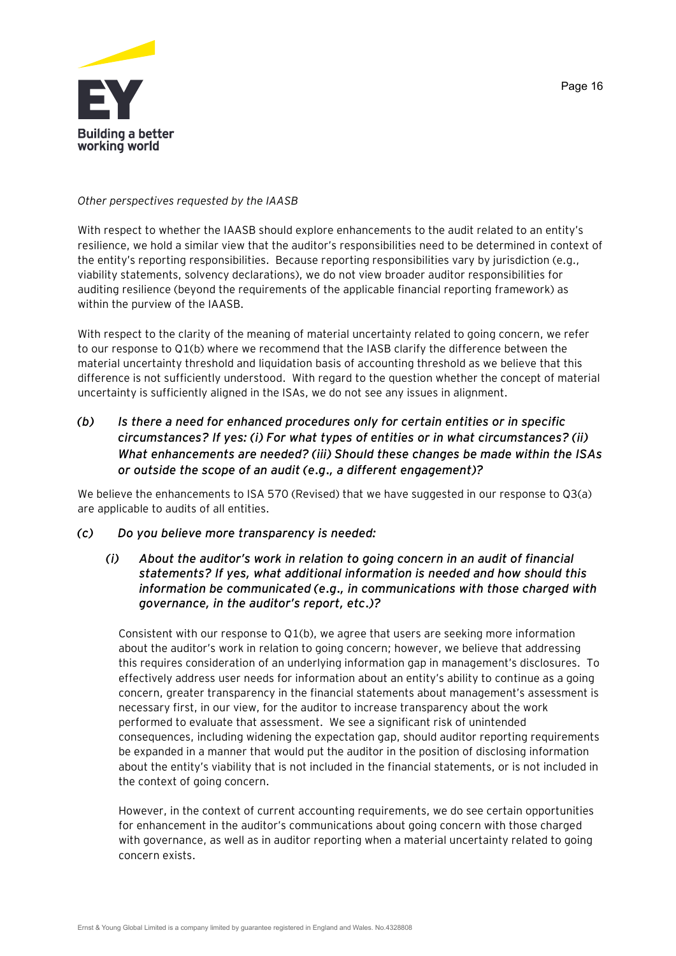



### *Other perspectives requested by the IAASB*

With respect to whether the IAASB should explore enhancements to the audit related to an entity's resilience, we hold a similar view that the auditor's responsibilities need to be determined in context of the entity's reporting responsibilities. Because reporting responsibilities vary by jurisdiction (e.g., viability statements, solvency declarations), we do not view broader auditor responsibilities for auditing resilience (beyond the requirements of the applicable financial reporting framework) as within the purview of the IAASB.

With respect to the clarity of the meaning of material uncertainty related to going concern, we refer to our response to Q1(b) where we recommend that the IASB clarify the difference between the material uncertainty threshold and liquidation basis of accounting threshold as we believe that this difference is not sufficiently understood. With regard to the question whether the concept of material uncertainty is sufficiently aligned in the ISAs, we do not see any issues in alignment.

## *(b) Is there a need for enhanced procedures only for certain entities or in specific circumstances? If yes: (i) For what types of entities or in what circumstances? (ii) What enhancements are needed? (iii) Should these changes be made within the ISAs or outside the scope of an audit (e.g., a different engagement)?*

We believe the enhancements to ISA 570 (Revised) that we have suggested in our response to Q3(a) are applicable to audits of all entities.

- *(c) Do you believe more transparency is needed:* 
	- *(i) About the auditor's work in relation to going concern in an audit of financial statements? If yes, what additional information is needed and how should this information be communicated (e.g., in communications with those charged with governance, in the auditor's report, etc.)?*

Consistent with our response to Q1(b), we agree that users are seeking more information about the auditor's work in relation to going concern; however, we believe that addressing this requires consideration of an underlying information gap in management's disclosures. To effectively address user needs for information about an entity's ability to continue as a going concern, greater transparency in the financial statements about management's assessment is necessary first, in our view, for the auditor to increase transparency about the work performed to evaluate that assessment. We see a significant risk of unintended consequences, including widening the expectation gap, should auditor reporting requirements be expanded in a manner that would put the auditor in the position of disclosing information about the entity's viability that is not included in the financial statements, or is not included in the context of going concern.

However, in the context of current accounting requirements, we do see certain opportunities for enhancement in the auditor's communications about going concern with those charged with governance, as well as in auditor reporting when a material uncertainty related to going concern exists.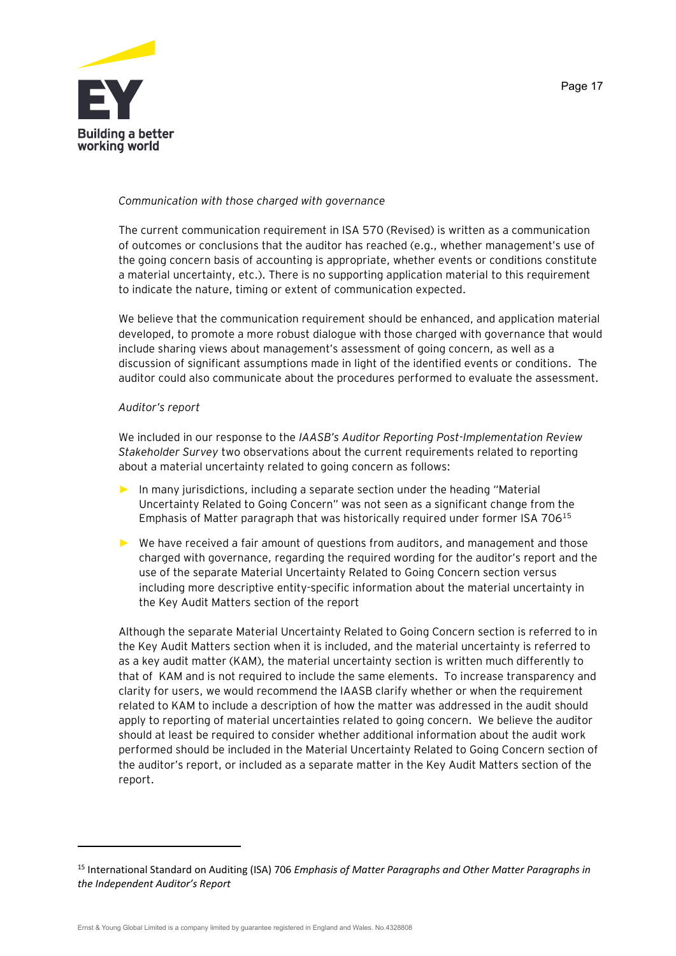



### *Communication with those charged with governance*

The current communication requirement in ISA 570 (Revised) is written as a communication of outcomes or conclusions that the auditor has reached (e.g., whether management's use of the going concern basis of accounting is appropriate, whether events or conditions constitute a material uncertainty, etc.). There is no supporting application material to this requirement to indicate the nature, timing or extent of communication expected.

We believe that the communication requirement should be enhanced, and application material developed, to promote a more robust dialogue with those charged with governance that would include sharing views about management's assessment of going concern, as well as a discussion of significant assumptions made in light of the identified events or conditions. The auditor could also communicate about the procedures performed to evaluate the assessment.

### *Auditor's report*

We included in our response to the *IAASB's Auditor Reporting Post-Implementation Review Stakeholder Survey* two observations about the current requirements related to reporting about a material uncertainty related to going concern as follows:

- ► In many jurisdictions, including a separate section under the heading "Material Uncertainty Related to Going Concern" was not seen as a significant change from the Emphasis of Matter paragraph that was historically required under former ISA 706<sup>15</sup>
- ► We have received a fair amount of questions from auditors, and management and those charged with governance, regarding the required wording for the auditor's report and the use of the separate Material Uncertainty Related to Going Concern section versus including more descriptive entity-specific information about the material uncertainty in the Key Audit Matters section of the report

Although the separate Material Uncertainty Related to Going Concern section is referred to in the Key Audit Matters section when it is included, and the material uncertainty is referred to as a key audit matter (KAM), the material uncertainty section is written much differently to that of KAM and is not required to include the same elements. To increase transparency and clarity for users, we would recommend the IAASB clarify whether or when the requirement related to KAM to include a description of how the matter was addressed in the audit should apply to reporting of material uncertainties related to going concern. We believe the auditor should at least be required to consider whether additional information about the audit work performed should be included in the Material Uncertainty Related to Going Concern section of the auditor's report, or included as a separate matter in the Key Audit Matters section of the report.

<sup>15</sup> International Standard on Auditing (ISA) 706 *Emphasis of Matter Paragraphs and Other Matter Paragraphs in the Independent Auditor's Report*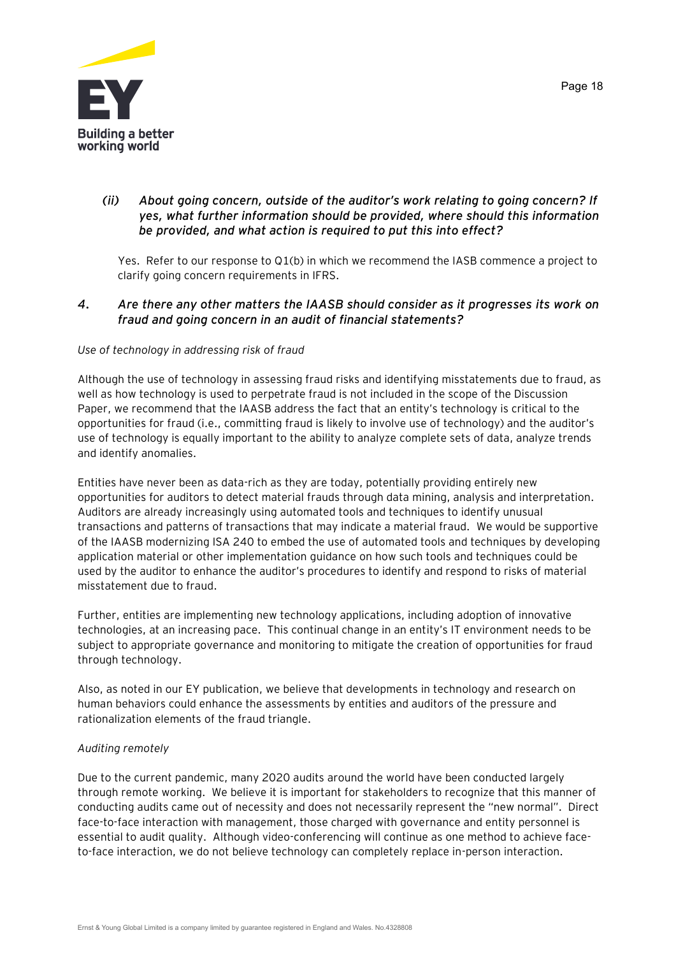



## *(ii) About going concern, outside of the auditor's work relating to going concern? If yes, what further information should be provided, where should this information be provided, and what action is required to put this into effect?*

Yes. Refer to our response to Q1(b) in which we recommend the IASB commence a project to clarify going concern requirements in IFRS.

### *4. Are there any other matters the IAASB should consider as it progresses its work on fraud and going concern in an audit of financial statements?*

### *Use of technology in addressing risk of fraud*

Although the use of technology in assessing fraud risks and identifying misstatements due to fraud, as well as how technology is used to perpetrate fraud is not included in the scope of the Discussion Paper, we recommend that the IAASB address the fact that an entity's technology is critical to the opportunities for fraud (i.e., committing fraud is likely to involve use of technology) and the auditor's use of technology is equally important to the ability to analyze complete sets of data, analyze trends and identify anomalies.

Entities have never been as data-rich as they are today, potentially providing entirely new opportunities for auditors to detect material frauds through data mining, analysis and interpretation. Auditors are already increasingly using automated tools and techniques to identify unusual transactions and patterns of transactions that may indicate a material fraud. We would be supportive of the IAASB modernizing ISA 240 to embed the use of automated tools and techniques by developing application material or other implementation guidance on how such tools and techniques could be used by the auditor to enhance the auditor's procedures to identify and respond to risks of material misstatement due to fraud.

Further, entities are implementing new technology applications, including adoption of innovative technologies, at an increasing pace. This continual change in an entity's IT environment needs to be subject to appropriate governance and monitoring to mitigate the creation of opportunities for fraud through technology.

Also, as noted in our EY publication, we believe that developments in technology and research on human behaviors could enhance the assessments by entities and auditors of the pressure and rationalization elements of the fraud triangle.

### *Auditing remotely*

Due to the current pandemic, many 2020 audits around the world have been conducted largely through remote working. We believe it is important for stakeholders to recognize that this manner of conducting audits came out of necessity and does not necessarily represent the "new normal". Direct face-to-face interaction with management, those charged with governance and entity personnel is essential to audit quality. Although video-conferencing will continue as one method to achieve faceto-face interaction, we do not believe technology can completely replace in-person interaction.